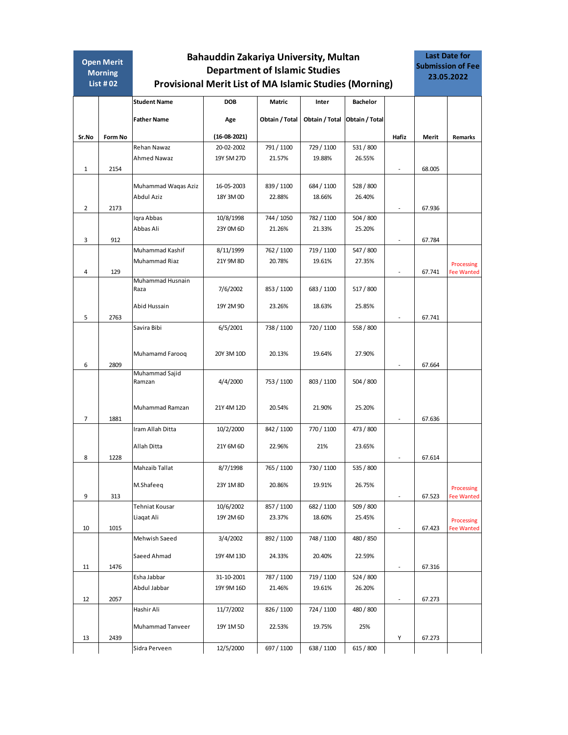| <b>Open Merit</b> |                | Bahauddin Zakariya University, Multan |                                                               |                |                |                 |                          |        | <b>Last Date for</b><br><b>Submission of Fee</b> |  |
|-------------------|----------------|---------------------------------------|---------------------------------------------------------------|----------------|----------------|-----------------|--------------------------|--------|--------------------------------------------------|--|
|                   | <b>Morning</b> | <b>Department of Islamic Studies</b>  |                                                               |                |                |                 |                          |        | 23.05.2022                                       |  |
|                   | List $#02$     |                                       | <b>Provisional Merit List of MA Islamic Studies (Morning)</b> |                |                |                 |                          |        |                                                  |  |
|                   |                | <b>Student Name</b>                   | <b>DOB</b>                                                    | <b>Matric</b>  | Inter          | <b>Bachelor</b> |                          |        |                                                  |  |
|                   |                | <b>Father Name</b>                    | Age                                                           | Obtain / Total | Obtain / Total | Obtain / Total  |                          |        |                                                  |  |
| Sr.No             | Form No        |                                       | $(16-08-2021)$                                                |                |                |                 | Hafiz                    | Merit  | Remarks                                          |  |
|                   |                | Rehan Nawaz                           | 20-02-2002                                                    | 791 / 1100     | 729 / 1100     | 531 / 800       |                          |        |                                                  |  |
|                   |                | Ahmed Nawaz                           | 19Y 5M 27D                                                    | 21.57%         | 19.88%         | 26.55%          |                          |        |                                                  |  |
| 1                 | 2154           |                                       |                                                               |                |                |                 | $\overline{\phantom{a}}$ | 68.005 |                                                  |  |
|                   |                | Muhammad Waqas Aziz                   | 16-05-2003                                                    | 839 / 1100     | 684 / 1100     | 528 / 800       |                          |        |                                                  |  |
|                   |                | Abdul Aziz                            | 18Y 3M 0D                                                     | 22.88%         | 18.66%         | 26.40%          |                          |        |                                                  |  |
| $\overline{2}$    | 2173           |                                       |                                                               |                |                |                 | $\overline{\phantom{a}}$ | 67.936 |                                                  |  |
|                   |                | Igra Abbas                            | 10/8/1998                                                     | 744 / 1050     | 782 / 1100     | 504 / 800       |                          |        |                                                  |  |
|                   |                | Abbas Ali                             | 23Y 0M 6D                                                     | 21.26%         | 21.33%         | 25.20%          |                          |        |                                                  |  |
| 3                 | 912            |                                       |                                                               |                |                |                 | $\overline{\phantom{a}}$ | 67.784 |                                                  |  |
|                   |                | Muhammad Kashif                       | 8/11/1999                                                     | 762 / 1100     | 719 / 1100     | 547 / 800       |                          |        |                                                  |  |
|                   |                | Muhammad Riaz                         | 21Y 9M 8D                                                     | 20.78%         | 19.61%         | 27.35%          |                          |        | Processing                                       |  |
| 4                 | 129            |                                       |                                                               |                |                |                 | ٠                        | 67.741 | <b>Fee Wanted</b>                                |  |
|                   |                | Muhammad Husnain                      |                                                               |                |                |                 |                          |        |                                                  |  |
|                   |                | Raza                                  | 7/6/2002                                                      | 853 / 1100     | 683 / 1100     | 517 / 800       |                          |        |                                                  |  |
|                   |                | Abid Hussain                          | 19Y 2M 9D                                                     | 23.26%         | 18.63%         | 25.85%          |                          |        |                                                  |  |
| 5                 | 2763           |                                       |                                                               |                |                |                 |                          | 67.741 |                                                  |  |
|                   |                | Savira Bibi                           | 6/5/2001                                                      | 738 / 1100     | 720 / 1100     | 558 / 800       |                          |        |                                                  |  |
|                   |                |                                       |                                                               |                |                |                 |                          |        |                                                  |  |
|                   |                |                                       |                                                               |                |                |                 |                          |        |                                                  |  |
|                   |                | Muhamamd Farooq                       | 20Y 3M 10D                                                    | 20.13%         | 19.64%         | 27.90%          |                          |        |                                                  |  |
| 6                 | 2809           |                                       |                                                               |                |                |                 |                          | 67.664 |                                                  |  |
|                   |                | Muhammad Sajid<br>Ramzan              | 4/4/2000                                                      | 753 / 1100     | 803 / 1100     | 504 / 800       |                          |        |                                                  |  |
|                   |                |                                       |                                                               |                |                |                 |                          |        |                                                  |  |
|                   |                |                                       |                                                               |                |                |                 |                          |        |                                                  |  |
|                   |                | Muhammad Ramzan                       | 21Y 4M 12D                                                    | 20.54%         | 21.90%         | 25.20%          |                          |        |                                                  |  |
| $\overline{7}$    | 1881           |                                       |                                                               |                |                |                 | $\overline{\phantom{a}}$ | 67.636 |                                                  |  |
|                   |                | Iram Allah Ditta                      | 10/2/2000                                                     | 842 / 1100     | 770 / 1100     | 473 / 800       |                          |        |                                                  |  |
|                   |                | Allah Ditta                           | 21Y 6M 6D                                                     | 22.96%         | 21%            | 23.65%          |                          |        |                                                  |  |
| 8                 | 1228           |                                       |                                                               |                |                |                 |                          | 67.614 |                                                  |  |
|                   |                | Mahzaib Tallat                        | 8/7/1998                                                      | 765 / 1100     | 730 / 1100     | 535 / 800       |                          |        |                                                  |  |
|                   |                |                                       |                                                               |                |                |                 |                          |        |                                                  |  |
|                   |                | M.Shafeeq                             | 23Y 1M 8D                                                     | 20.86%         | 19.91%         | 26.75%          |                          |        | Processing                                       |  |
| 9                 | 313            |                                       |                                                               |                |                |                 | $\overline{\phantom{a}}$ | 67.523 | <b>Fee Wanted</b>                                |  |
|                   |                | Tehniat Kousar                        | 10/6/2002                                                     | 857 / 1100     | 682 / 1100     | 509 / 800       |                          |        |                                                  |  |
|                   |                | Liaqat Ali                            | 19Y 2M 6D                                                     | 23.37%         | 18.60%         | 25.45%          |                          |        | Processing                                       |  |
| 10                | 1015           | Mehwish Saeed                         |                                                               | 892 / 1100     | 748 / 1100     | 480 / 850       | $\overline{\phantom{a}}$ | 67.423 | <b>Fee Wanted</b>                                |  |
|                   |                |                                       | 3/4/2002                                                      |                |                |                 |                          |        |                                                  |  |
|                   |                | Saeed Ahmad                           | 19Y 4M 13D                                                    | 24.33%         | 20.40%         | 22.59%          |                          |        |                                                  |  |
| 11                | 1476           |                                       |                                                               |                |                |                 | $\overline{\phantom{a}}$ | 67.316 |                                                  |  |
|                   |                | Esha Jabbar                           | 31-10-2001                                                    | 787 / 1100     | 719 / 1100     | 524 / 800       |                          |        |                                                  |  |
|                   |                | Abdul Jabbar                          | 19Y 9M 16D                                                    | 21.46%         | 19.61%         | 26.20%          |                          |        |                                                  |  |
| 12                | 2057           |                                       |                                                               |                |                |                 | $\overline{\phantom{a}}$ | 67.273 |                                                  |  |
|                   |                | Hashir Ali                            | 11/7/2002                                                     | 826 / 1100     | 724 / 1100     | 480 / 800       |                          |        |                                                  |  |
|                   |                |                                       |                                                               |                |                |                 |                          |        |                                                  |  |
|                   |                | Muhammad Tanveer                      | 19Y 1M 5D                                                     | 22.53%         | 19.75%         | 25%             |                          |        |                                                  |  |
| 13                | 2439           |                                       |                                                               |                |                |                 | Y                        | 67.273 |                                                  |  |
|                   |                | Sidra Perveen                         | 12/5/2000                                                     | 697 / 1100     | 638 / 1100     | 615 / 800       |                          |        |                                                  |  |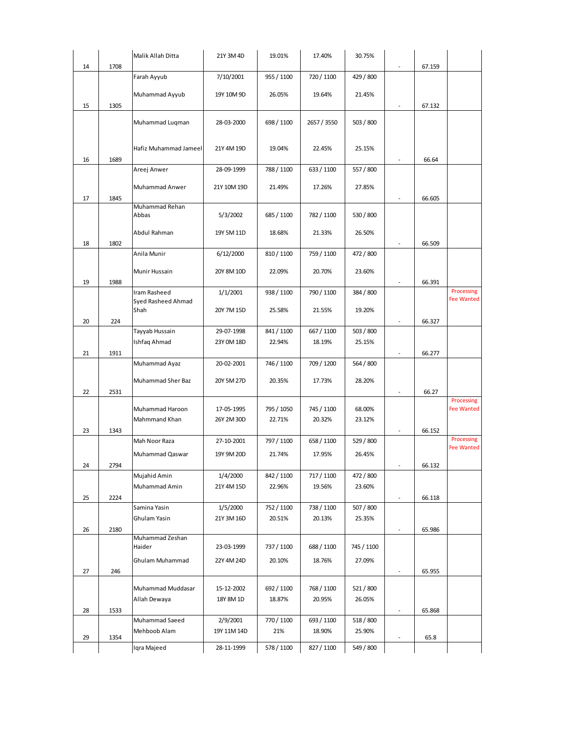|    |      | Malik Allah Ditta        | 21Y 3M 4D   | 19.01%     | 17.40%      | 30.75%     |                          |        |                                 |
|----|------|--------------------------|-------------|------------|-------------|------------|--------------------------|--------|---------------------------------|
| 14 | 1708 |                          |             |            |             |            |                          | 67.159 |                                 |
|    |      | Farah Ayyub              | 7/10/2001   | 955 / 1100 | 720 / 1100  | 429 / 800  |                          |        |                                 |
|    |      | Muhammad Ayyub           | 19Y 10M 9D  | 26.05%     | 19.64%      | 21.45%     |                          |        |                                 |
| 15 | 1305 |                          |             |            |             |            |                          | 67.132 |                                 |
|    |      |                          |             |            |             |            |                          |        |                                 |
|    |      | Muhammad Luqman          | 28-03-2000  | 698 / 1100 | 2657 / 3550 | 503 / 800  |                          |        |                                 |
|    |      |                          |             |            |             |            |                          |        |                                 |
|    |      | Hafiz Muhammad Jameel    | 21Y 4M 19D  | 19.04%     | 22.45%      | 25.15%     |                          |        |                                 |
| 16 | 1689 |                          |             |            |             |            | $\overline{\phantom{a}}$ | 66.64  |                                 |
|    |      | Areej Anwer              | 28-09-1999  | 788 / 1100 | 633 / 1100  | 557 / 800  |                          |        |                                 |
|    |      |                          |             |            |             |            |                          |        |                                 |
|    |      | Muhammad Anwer           | 21Y 10M 19D | 21.49%     | 17.26%      | 27.85%     |                          |        |                                 |
| 17 | 1845 | Muhammad Rehan           |             |            |             |            | $\overline{\phantom{a}}$ | 66.605 |                                 |
|    |      | Abbas                    | 5/3/2002    | 685 / 1100 | 782 / 1100  | 530 / 800  |                          |        |                                 |
|    |      |                          |             |            |             |            |                          |        |                                 |
|    |      | Abdul Rahman             | 19Y 5M 11D  | 18.68%     | 21.33%      | 26.50%     |                          |        |                                 |
| 18 | 1802 |                          |             |            |             |            | $\overline{a}$           | 66.509 |                                 |
|    |      | Anila Munir              | 6/12/2000   | 810 / 1100 | 759 / 1100  | 472 / 800  |                          |        |                                 |
|    |      | Munir Hussain            | 20Y 8M 10D  | 22.09%     | 20.70%      | 23.60%     |                          |        |                                 |
| 19 | 1988 |                          |             |            |             |            |                          | 66.391 |                                 |
|    |      | Iram Rasheed             | 1/1/2001    | 938 / 1100 | 790 / 1100  | 384 / 800  |                          |        | Processing                      |
|    |      | Syed Rasheed Ahmad       |             |            |             |            |                          |        | <b>Fee Wanted</b>               |
|    |      | Shah                     | 20Y 7M 15D  | 25.58%     | 21.55%      | 19.20%     |                          |        |                                 |
| 20 | 224  | Tayyab Hussain           | 29-07-1998  | 841 / 1100 | 667 / 1100  | 503 / 800  | $\overline{a}$           | 66.327 |                                 |
|    |      | Ishfaq Ahmad             | 23Y 0M 18D  | 22.94%     | 18.19%      | 25.15%     |                          |        |                                 |
| 21 | 1911 |                          |             |            |             |            | $\overline{a}$           | 66.277 |                                 |
|    |      | Muhammad Ayaz            | 20-02-2001  | 746 / 1100 | 709 / 1200  | 564 / 800  |                          |        |                                 |
|    |      |                          |             |            |             |            |                          |        |                                 |
|    |      | <b>Muhammad Sher Baz</b> | 20Y 5M 27D  | 20.35%     | 17.73%      | 28.20%     |                          |        |                                 |
| 22 | 2531 |                          |             |            |             |            | $\overline{\phantom{a}}$ | 66.27  |                                 |
|    |      | Muhammad Haroon          | 17-05-1995  | 795 / 1050 | 745 / 1100  | 68.00%     |                          |        | Processing<br><b>Fee Wanted</b> |
|    |      | Mahmmand Khan            | 26Y 2M 30D  | 22.71%     | 20.32%      | 23.12%     |                          |        |                                 |
| 23 | 1343 |                          |             |            |             |            | $\overline{\phantom{a}}$ | 66.152 |                                 |
|    |      | Mah Noor Raza            | 27-10-2001  | 797 / 1100 | 658 / 1100  | 529 / 800  |                          |        | Processing                      |
|    |      | Muhammad Qaswar          | 19Y 9M 20D  | 21.74%     | 17.95%      | 26.45%     |                          |        | <b>Fee Wanted</b>               |
| 24 | 2794 |                          |             |            |             |            |                          | 66.132 |                                 |
|    |      | Mujahid Amin             | 1/4/2000    | 842 / 1100 | 717 / 1100  | 472 / 800  |                          |        |                                 |
|    |      | Muhammad Amin            | 21Y 4M 15D  | 22.96%     | 19.56%      | 23.60%     |                          |        |                                 |
| 25 | 2224 |                          |             |            |             |            | $\blacksquare$           | 66.118 |                                 |
|    |      | Samina Yasin             | 1/5/2000    | 752 / 1100 | 738 / 1100  | 507 / 800  |                          |        |                                 |
|    |      | Ghulam Yasin             | 21Y 3M 16D  | 20.51%     | 20.13%      | 25.35%     |                          |        |                                 |
| 26 | 2180 |                          |             |            |             |            | ٠                        | 65.986 |                                 |
|    |      | Muhammad Zeshan          |             |            |             | 745 / 1100 |                          |        |                                 |
|    |      | Haider                   | 23-03-1999  | 737 / 1100 | 688 / 1100  |            |                          |        |                                 |
|    |      | Ghulam Muhammad          | 22Y 4M 24D  | 20.10%     | 18.76%      | 27.09%     |                          |        |                                 |
| 27 | 246  |                          |             |            |             |            | ۰                        | 65.955 |                                 |
|    |      | Muhammad Muddasar        | 15-12-2002  | 692 / 1100 | 768 / 1100  | 521/800    |                          |        |                                 |
|    |      | Allah Dewaya             | 18Y 8M 1D   | 18.87%     | 20.95%      | 26.05%     |                          |        |                                 |
| 28 | 1533 |                          |             |            |             |            | $\overline{\phantom{a}}$ | 65.868 |                                 |
|    |      | Muhammad Saeed           | 2/9/2001    | 770 / 1100 | 693 / 1100  | 518 / 800  |                          |        |                                 |
|    |      | Mehboob Alam             | 19Y 11M 14D | 21%        | 18.90%      | 25.90%     |                          |        |                                 |
| 29 | 1354 |                          |             |            |             |            | $\overline{\phantom{a}}$ | 65.8   |                                 |
|    |      | Iqra Majeed              | 28-11-1999  | 578 / 1100 | 827 / 1100  | 549 / 800  |                          |        |                                 |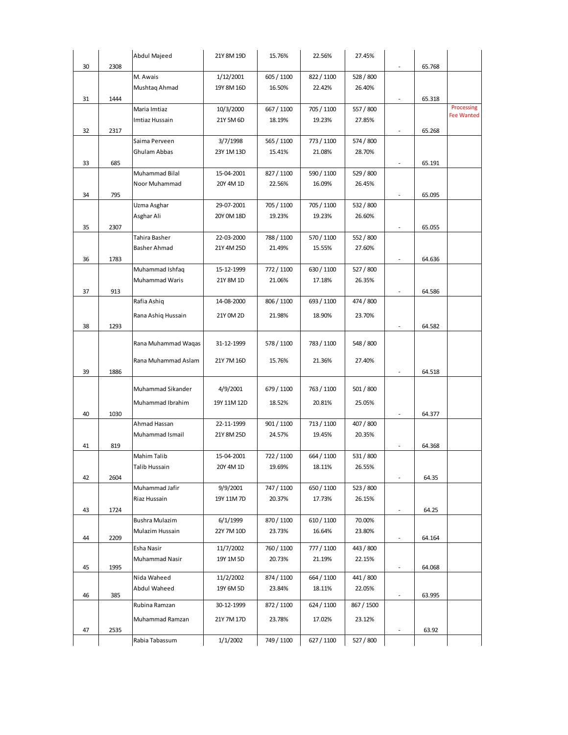|    |      | Abdul Majeed                | 21Y 8M 19D             | 15.76%     | 22.56%     | 27.45%              |                          |        |                   |
|----|------|-----------------------------|------------------------|------------|------------|---------------------|--------------------------|--------|-------------------|
| 30 | 2308 |                             |                        |            |            |                     |                          | 65.768 |                   |
|    |      | M. Awais                    | 1/12/2001              | 605 / 1100 | 822 / 1100 | 528 / 800           |                          |        |                   |
|    |      | Mushtaq Ahmad               | 19Y 8M 16D             | 16.50%     | 22.42%     | 26.40%              |                          |        |                   |
| 31 | 1444 |                             |                        |            |            |                     | $\overline{\phantom{a}}$ | 65.318 |                   |
|    |      | Maria Imtiaz                | 10/3/2000              | 667 / 1100 | 705 / 1100 | 557 / 800           |                          |        | Processing        |
|    |      | Imtiaz Hussain              | 21Y 5M 6D              | 18.19%     | 19.23%     | 27.85%              |                          |        | <b>Fee Wanted</b> |
| 32 | 2317 |                             |                        |            |            |                     | $\overline{\phantom{a}}$ | 65.268 |                   |
|    |      | Saima Perveen               | 3/7/1998               | 565 / 1100 | 773 / 1100 | 574 / 800           |                          |        |                   |
|    |      | Ghulam Abbas                | 23Y 1M 13D             | 15.41%     | 21.08%     | 28.70%              |                          |        |                   |
| 33 | 685  |                             |                        |            |            |                     | $\overline{\phantom{a}}$ | 65.191 |                   |
|    |      | Muhammad Bilal              | 15-04-2001             | 827 / 1100 | 590 / 1100 | 529 / 800           |                          |        |                   |
|    |      | Noor Muhammad               | 20Y 4M 1D              | 22.56%     | 16.09%     | 26.45%              |                          |        |                   |
| 34 | 795  |                             |                        |            |            |                     | $\overline{\phantom{a}}$ | 65.095 |                   |
|    |      | Uzma Asghar                 | 29-07-2001             | 705 / 1100 | 705 / 1100 | 532 / 800           |                          |        |                   |
|    |      | Asghar Ali                  | 20Y 0M 18D             | 19.23%     | 19.23%     | 26.60%              |                          |        |                   |
| 35 | 2307 |                             |                        |            |            |                     | $\overline{\phantom{a}}$ | 65.055 |                   |
|    |      | Tahira Basher               | 22-03-2000             | 788 / 1100 | 570 / 1100 | 552 / 800           |                          |        |                   |
|    |      | Basher Ahmad                | 21Y 4M 25D             | 21.49%     | 15.55%     | 27.60%              |                          |        |                   |
| 36 | 1783 |                             |                        |            |            |                     | $\overline{\phantom{a}}$ | 64.636 |                   |
|    |      | Muhammad Ishfaq             | 15-12-1999             | 772 / 1100 | 630 / 1100 | 527 / 800           |                          |        |                   |
|    |      | Muhammad Waris              | 21Y 8M 1D              | 21.06%     | 17.18%     | 26.35%              |                          |        |                   |
| 37 | 913  |                             |                        |            |            |                     | $\overline{\phantom{a}}$ | 64.586 |                   |
|    |      | Rafia Ashiq                 | 14-08-2000             | 806 / 1100 | 693 / 1100 | 474 / 800           |                          |        |                   |
|    |      | Rana Ashiq Hussain          | 21Y 0M 2D              | 21.98%     | 18.90%     | 23.70%              |                          |        |                   |
|    |      |                             |                        |            |            |                     |                          |        |                   |
| 38 | 1293 |                             |                        |            |            |                     |                          | 64.582 |                   |
|    |      | Rana Muhammad Waqas         | 31-12-1999             | 578 / 1100 | 783 / 1100 | 548 / 800           |                          |        |                   |
|    |      |                             |                        |            |            |                     |                          |        |                   |
|    |      | Rana Muhammad Aslam         | 21Y 7M 16D             | 15.76%     | 21.36%     | 27.40%              |                          |        |                   |
| 39 | 1886 |                             |                        |            |            |                     |                          | 64.518 |                   |
|    |      | Muhammad Sikander           | 4/9/2001               | 679 / 1100 | 763 / 1100 | 501 / 800           |                          |        |                   |
|    |      | Muhammad Ibrahim            |                        |            | 20.81%     |                     |                          |        |                   |
|    | 1030 |                             | 19Y 11M 12D            | 18.52%     |            | 25.05%              | $\overline{\phantom{a}}$ |        |                   |
| 40 |      | Ahmad Hassan                | 22-11-1999             | 901 / 1100 | 713 / 1100 | 407 / 800           |                          | 64.377 |                   |
|    |      | Muhammad Ismail             | 21Y 8M 25D             | 24.57%     | 19.45%     | 20.35%              |                          |        |                   |
| 41 | 819  |                             |                        |            |            |                     |                          | 64.368 |                   |
|    |      | Mahim Talib                 | 15-04-2001             | 722 / 1100 | 664 / 1100 | 531 / 800           |                          |        |                   |
|    |      | Talib Hussain               | 20Y 4M 1D              | 19.69%     | 18.11%     | 26.55%              |                          |        |                   |
| 42 | 2604 |                             |                        |            |            |                     | $\sim$                   | 64.35  |                   |
|    |      | Muhammad Jafir              | 9/9/2001               | 747 / 1100 | 650 / 1100 | 523 / 800           |                          |        |                   |
|    |      | Riaz Hussain                | 19Y 11M 7D             | 20.37%     | 17.73%     | 26.15%              |                          |        |                   |
| 43 | 1724 |                             |                        |            |            |                     | $\overline{\phantom{a}}$ | 64.25  |                   |
|    |      | Bushra Mulazim              | 6/1/1999               | 870 / 1100 | 610 / 1100 | 70.00%              |                          |        |                   |
|    |      | Mulazim Hussain             | 22Y 7M 10D             | 23.73%     | 16.64%     | 23.80%              |                          |        |                   |
| 44 | 2209 |                             |                        |            |            |                     | $\overline{\phantom{a}}$ | 64.164 |                   |
|    |      | Esha Nasir                  | 11/7/2002              | 760 / 1100 | 777 / 1100 | 443 / 800           |                          |        |                   |
|    |      | Muhammad Nasir              | 19Y 1M 5D              | 20.73%     | 21.19%     | 22.15%              |                          |        |                   |
| 45 | 1995 |                             |                        | 874 / 1100 | 664 / 1100 |                     | $\overline{\phantom{a}}$ | 64.068 |                   |
|    |      | Nida Waheed<br>Abdul Waheed | 11/2/2002<br>19Y 6M 5D | 23.84%     | 18.11%     | 441 / 800<br>22.05% |                          |        |                   |
| 46 | 385  |                             |                        |            |            |                     | $\overline{\phantom{a}}$ | 63.995 |                   |
|    |      | Rubina Ramzan               | 30-12-1999             | 872 / 1100 | 624 / 1100 | 867 / 1500          |                          |        |                   |
|    |      | Muhammad Ramzan             | 21Y 7M 17D             | 23.78%     | 17.02%     | 23.12%              |                          |        |                   |
| 47 | 2535 |                             |                        |            |            |                     | $\overline{\phantom{a}}$ | 63.92  |                   |
|    |      | Rabia Tabassum              | 1/1/2002               | 749 / 1100 | 627 / 1100 | 527 / 800           |                          |        |                   |
|    |      |                             |                        |            |            |                     |                          |        |                   |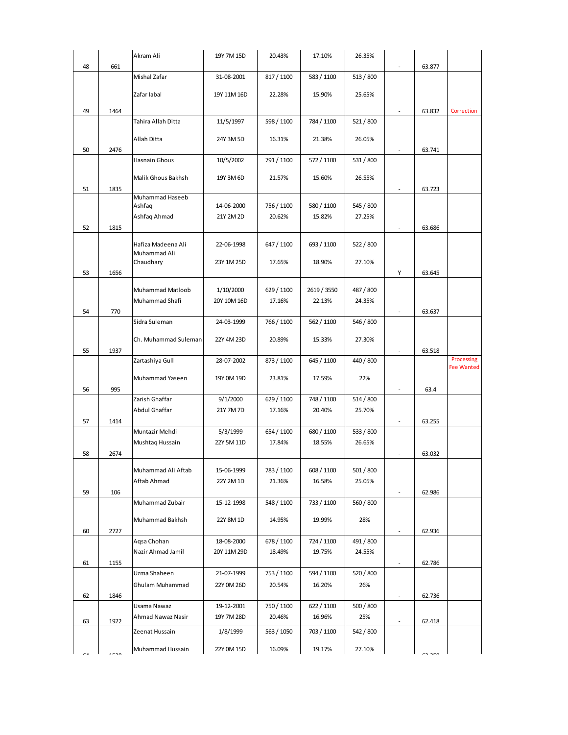|    |      | Akram Ali            | 19Y 7M 15D  | 20.43%     | 17.10%      | 26.35%    |                          |        |                   |
|----|------|----------------------|-------------|------------|-------------|-----------|--------------------------|--------|-------------------|
| 48 | 661  |                      |             |            |             |           |                          | 63.877 |                   |
|    |      | Mishal Zafar         | 31-08-2001  | 817 / 1100 | 583 / 1100  | 513 / 800 |                          |        |                   |
|    |      | Zafar labal          | 19Y 11M 16D | 22.28%     | 15.90%      | 25.65%    |                          |        |                   |
|    |      |                      |             |            |             |           |                          |        |                   |
| 49 | 1464 |                      |             |            |             |           |                          | 63.832 | Correction        |
|    |      | Tahira Allah Ditta   | 11/5/1997   | 598 / 1100 | 784 / 1100  | 521/800   |                          |        |                   |
|    |      | Allah Ditta          | 24Y 3M 5D   | 16.31%     | 21.38%      | 26.05%    |                          |        |                   |
| 50 | 2476 |                      |             |            |             |           | $\sim$                   | 63.741 |                   |
|    |      | Hasnain Ghous        | 10/5/2002   | 791 / 1100 | 572 / 1100  | 531 / 800 |                          |        |                   |
|    |      | Malik Ghous Bakhsh   | 19Y 3M 6D   | 21.57%     | 15.60%      | 26.55%    |                          |        |                   |
| 51 | 1835 |                      |             |            |             |           | $\overline{\phantom{a}}$ | 63.723 |                   |
|    |      | Muhammad Haseeb      |             |            |             |           |                          |        |                   |
|    |      | Ashfaq               | 14-06-2000  | 756 / 1100 | 580 / 1100  | 545 / 800 |                          |        |                   |
|    |      | Ashfaq Ahmad         | 21Y 2M 2D   | 20.62%     | 15.82%      | 27.25%    |                          |        |                   |
| 52 | 1815 |                      |             |            |             |           |                          | 63.686 |                   |
|    |      | Hafiza Madeena Ali   | 22-06-1998  | 647 / 1100 | 693 / 1100  | 522 / 800 |                          |        |                   |
|    |      | Muhammad Ali         |             |            |             |           |                          |        |                   |
|    |      | Chaudhary            | 23Y 1M 25D  | 17.65%     | 18.90%      | 27.10%    |                          |        |                   |
| 53 | 1656 |                      |             |            |             |           | Y                        | 63.645 |                   |
|    |      | Muhammad Matloob     | 1/10/2000   | 629 / 1100 | 2619 / 3550 | 487 / 800 |                          |        |                   |
|    |      | Muhammad Shafi       | 20Y 10M 16D | 17.16%     | 22.13%      | 24.35%    |                          |        |                   |
| 54 | 770  |                      |             |            |             |           | $\overline{\phantom{a}}$ | 63.637 |                   |
|    |      | Sidra Suleman        | 24-03-1999  | 766 / 1100 | 562 / 1100  | 546 / 800 |                          |        |                   |
|    |      | Ch. Muhammad Suleman | 22Y 4M 23D  | 20.89%     | 15.33%      | 27.30%    |                          |        |                   |
| 55 | 1937 |                      |             |            |             |           | $\sim$                   | 63.518 |                   |
|    |      | Zartashiya Gull      | 28-07-2002  | 873 / 1100 | 645 / 1100  | 440 / 800 |                          |        | Processing        |
|    |      |                      |             |            |             |           |                          |        | <b>Fee Wanted</b> |
|    |      | Muhammad Yaseen      | 19Y 0M 19D  | 23.81%     | 17.59%      | 22%       |                          |        |                   |
| 56 | 995  | Zarish Ghaffar       | 9/1/2000    | 629 / 1100 | 748 / 1100  | 514 / 800 | $\overline{\phantom{a}}$ | 63.4   |                   |
|    |      | Abdul Ghaffar        | 21Y 7M 7D   | 17.16%     | 20.40%      | 25.70%    |                          |        |                   |
| 57 | 1414 |                      |             |            |             |           | $\sim$                   | 63.255 |                   |
|    |      | Muntazir Mehdi       | 5/3/1999    | 654 / 1100 | 680 / 1100  | 533 / 800 |                          |        |                   |
|    |      | Mushtaq Hussain      | 22Y 5M 11D  | 17.84%     | 18.55%      | 26.65%    |                          |        |                   |
| 58 | 2674 |                      |             |            |             |           | $\overline{\phantom{a}}$ | 63.032 |                   |
|    |      | Muhammad Ali Aftab   | 15-06-1999  | 783 / 1100 | 608 / 1100  | 501 / 800 |                          |        |                   |
|    |      | Aftab Ahmad          | 22Y 2M 1D   | 21.36%     | 16.58%      | 25.05%    |                          |        |                   |
| 59 | 106  |                      |             |            |             |           | $\overline{\phantom{a}}$ | 62.986 |                   |
|    |      | Muhammad Zubair      | 15-12-1998  | 548 / 1100 | 733 / 1100  | 560 / 800 |                          |        |                   |
|    |      | Muhammad Bakhsh      |             | 14.95%     | 19.99%      | 28%       |                          |        |                   |
| 60 | 2727 |                      | 22Y 8M 1D   |            |             |           | $\sim$                   | 62.936 |                   |
|    |      | Aqsa Chohan          | 18-08-2000  | 678 / 1100 | 724 / 1100  | 491 / 800 |                          |        |                   |
|    |      | Nazir Ahmad Jamil    | 20Y 11M 29D | 18.49%     | 19.75%      | 24.55%    |                          |        |                   |
| 61 | 1155 |                      |             |            |             |           | $\overline{\phantom{a}}$ | 62.786 |                   |
|    |      | Uzma Shaheen         | 21-07-1999  | 753 / 1100 | 594 / 1100  | 520 / 800 |                          |        |                   |
|    |      | Ghulam Muhammad      | 22Y 0M 26D  | 20.54%     | 16.20%      | 26%       |                          |        |                   |
| 62 | 1846 |                      |             |            |             |           | $\overline{\phantom{a}}$ | 62.736 |                   |
|    |      | Usama Nawaz          | 19-12-2001  | 750 / 1100 | 622 / 1100  | 500 / 800 |                          |        |                   |
| 63 | 1922 | Ahmad Nawaz Nasir    | 19Y 7M 28D  | 20.46%     | 16.96%      | 25%       | $\overline{\phantom{a}}$ | 62.418 |                   |
|    |      | Zeenat Hussain       | 1/8/1999    | 563 / 1050 | 703 / 1100  | 542 / 800 |                          |        |                   |
|    |      | Muhammad Hussain     | 22Y 0M 15D  | 16.09%     | 19.17%      | 27.10%    |                          |        |                   |
|    |      |                      |             |            |             |           |                          |        |                   |